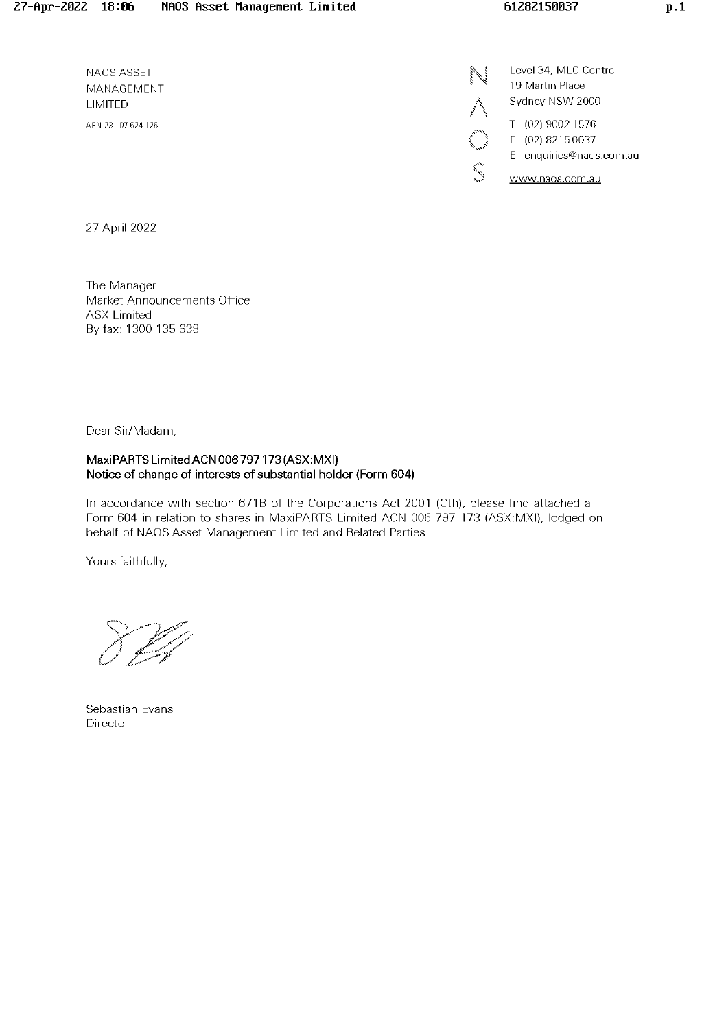NAOS ASSET MANAGEMENT UMITED AEN 23 107 624126

Level 34, MLC Centre 19 Martin Place Sydney NSW 2000 T (02) 90021576 F (02) 82150037 E enquiries@naos.com.au  $\sum_{n=1}^{\infty}$  www.naos.com.au

27 April 2022

The Manager Market Announcements Office **ASX Limited** By fax: 1300 136 638

Dear Sir/Madam,

## MaxiPARTS Limited ACN 006 797 173 (ASX:MXI) Notice of change of interests of substantial holder (Form 604)

In accordance with section 671B of the Corporations Act 2001 (Cth), please find attached a Form 604 in relation to shares in MaxiPARTS Limited ACN 006 797 173 (ASX:MXI), lodged on behalf of NAOS Asset Management Limited and Related Parties.

Yours faithfully,

Sebastian Evans Director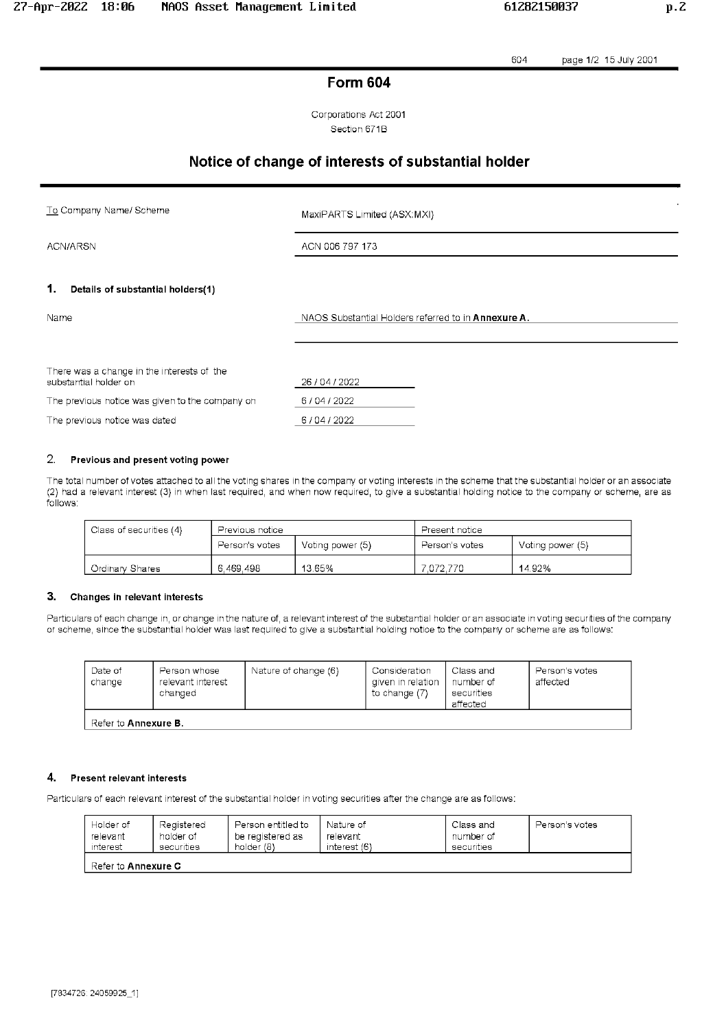604 page 1/2 15 July 2001

# **Form 604**

Corporations Act 2001 Section 671B

# Notice of change of interests of substantial holder

To Company Name/ Scheme

MaxiPARTS Limited (ASX:MXI)

ACN/ARSN

ACN 006 797 173

#### 1. Details of substantial holders(1)

NAOS Substantial Holders referred to in Annexure A.

| There was a change in the interests of the<br>substantial holder on | 26/04/2022 |
|---------------------------------------------------------------------|------------|
| The previous notice was given to the company on                     | 6/04/2022  |
| The previous notice was dated                                       | 6/04/2022  |

#### 2. Previous and present voting power

The total number of votes attached to all the voting shares in the company or voting interests in the scheme that the substantial holder or an associate (2) had a relevant interest (3) in when last required, and when now required, to give a substantial holding notice to the company or scheme, are as follows:

| Class of securities (4) | Previous notice |                  | Present notice |                  |
|-------------------------|-----------------|------------------|----------------|------------------|
|                         | Person's votes  | Voting power (5) | Person's votes | Voting power (5) |
| <b>Ordinary Shares</b>  | 6.469.498       | 13.65%           | 7.072.770      | 14.92%           |

#### 3. Changes in relevant interests

Particulars of each change in, or change in the nature of, a relevant interest of the substantial holder or an associate in voting securities of the company or scheme, since the substantial holder was last required to give a substantial holding notice to the company or scheme are as follows:

| Date of<br>change           | Person whose<br>relevant interest<br>changed | Nature of change (6) | Consideration<br>given in relation<br>to change (7) | Class and<br>number of<br>securities<br>affected | Person's votes<br>affected |  |
|-----------------------------|----------------------------------------------|----------------------|-----------------------------------------------------|--------------------------------------------------|----------------------------|--|
| Refer to <b>Annexure B.</b> |                                              |                      |                                                     |                                                  |                            |  |

#### 4. **Present relevant interests**

Particulars of each relevant interest of the substantial holder in voting securities after the change are as follows:

| Holder of                  | Registered | Person entitled to | Nature of    | Class and  | Person's votes |
|----------------------------|------------|--------------------|--------------|------------|----------------|
| relevant                   | holder of  | be registered as   | relevant     | number of  |                |
| interest                   | securities | holder (8)         | interest (6) | securities |                |
| Refer to <b>Annexure C</b> |            |                    |              |            |                |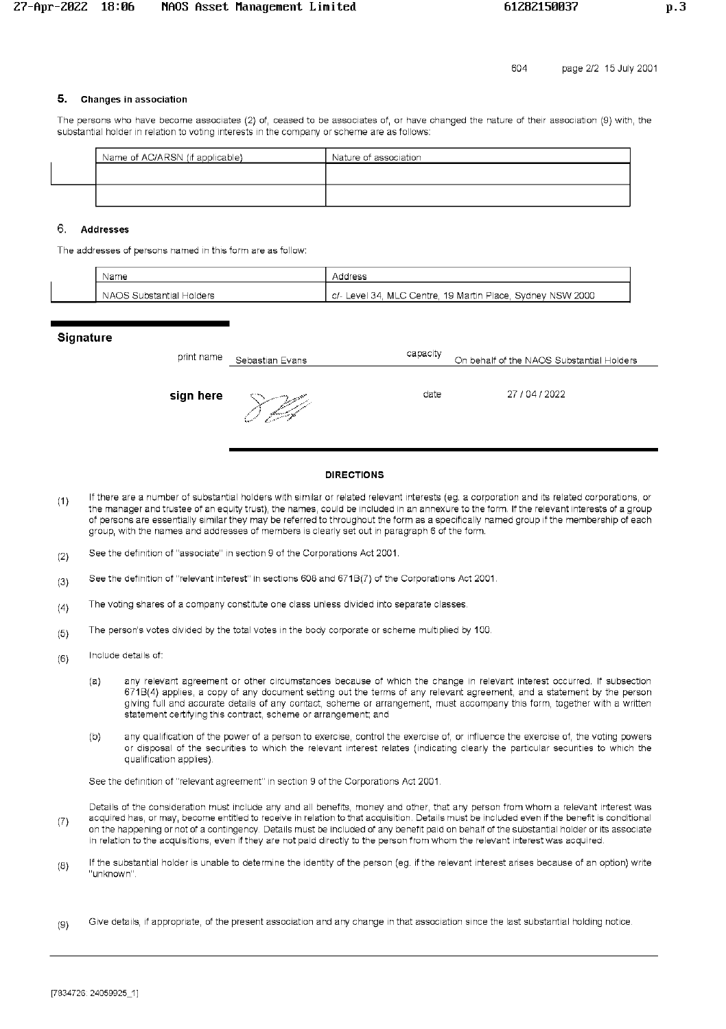## 5. Changes in association

The persons who have become associates (2) of, ceased to be associates of, or have changed the nature of their association (9) with, the substantial holder in relation to voting interests in the company or scheme are as follows:

| Name of AC/ARSN (if applicable) | Nature of association |
|---------------------------------|-----------------------|
|                                 |                       |
|                                 |                       |
|                                 |                       |

## 6. Addresses

The addresses of persons named in this form are as follow:

| Name                     | Address                                                         |
|--------------------------|-----------------------------------------------------------------|
| NAOS Substantial Holders | Level 34, MLC Centre, 19 Martin Place, Sydney NSW 2000<br>- C/- |

### **Signature**

| print name | Sebastian Evans | capacity | On behalf of the NAOS Substantial Holders |
|------------|-----------------|----------|-------------------------------------------|
| sign here  | بركيبكو         | date     | 27/04/2022                                |

### **DIRECTIONS**

- If there are a number of substantial holders with similar or related relevant interests (eg. a corporation and its related corporations, or  $(1)$ the manager and trustee of an equity trust), the names, could be included in an annexure to the form. If the relevant interests of a group of persons are essentially similar they may be referred to throughout the form as a specifically named group if the membership of each group, with the names and addresses of members is clearly set out in paragraph 6 of the form.
- See the definition of "associate" in section 9 of the Corporations Act 2001.  $(2)$
- See the definition of "relevant interest" in sections 608 and 671B(7) of the Corporations Act 2001.  $(3)$
- The voting shares of a company constitute one class unless divided into separate classes.  $(4)$
- The person's votes divided by the total votes in the body corporate or scheme multiplied by 100.  $(5)$
- Include details of:  $(6)$ 
	- any relevant agreement or other circumstances because of which the change in relevant interest occurred. If subsection  $(a)$ 671B(4) applies, a copy of any document setting out the terms of any relevant agreement, and a statement by the person giving full and accurate details of any contact, scheme or arrangement, must accompany this form, together with a written statement certifying this contract, scheme or arrangement; and
	- any qualification of the power of a person to exercise, control the exercise of, or influence the exercise of, the voting powers  $(b)$ or disposal of the securities to which the relevant interest relates (indicating clearly the particular securities to which the qualification applies).

See the definition of "relevant agreement" in section 9 of the Corporations Act 2001.

Details of the consideration must include any and all benefits, money and other, that any person from whom a relevant interest was acquired has, or may, become entitled to receive in relation to that acquisition. Details must be included even if the benefit is conditional  $(7)$ on the happening or not of a contingency. Details must be included of any benefit paid on behalf of the substantial holder or its associate in relation to the acquisitions, even if they are not paid directly to the person from whom the relevant interest was acquired.

- If the substantial holder is unable to determine the identity of the person (eg. if the relevant interest arises because of an option) write  $(8)$ "unknown"
- Give details, if appropriate, of the present association and any change in that association since the last substantial holding notice.  $(9)$